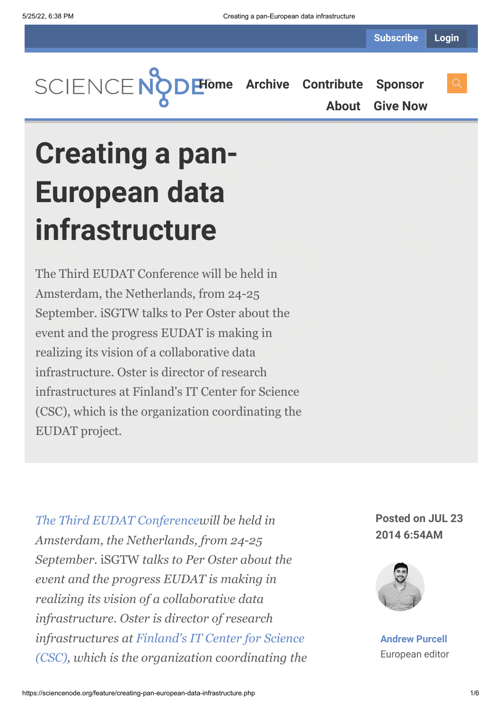

**[About](https://sciencenode.org/about/index.php) [Give Now](https://sciencenode.org/donate/index.php)**

# **Creating a pan-European data infrastructure**

The Third EUDAT Conference will be held in Amsterdam, the Netherlands, from 24-25 September. iSGTW talks to Per Oster about the event and the progress EUDAT is making in realizing its vision of a collaborative data infrastructure. Oster is director of research infrastructures at Finland's IT Center for Science (CSC), which is the organization coordinating the EUDAT project.

*[The Third EUDAT Conference](http://www.eudat.eu/3rd-eudat-conference)will be held in Amsterdam, the Netherlands, from 24-25 September.* iSGTW *talks to Per Oster about the event and the progress EUDAT is making in realizing its vision of a collaborative data infrastructure. Oster is director of research infrastructures at Finland's IT Center for Science [\(CSC\), which is the organization coordinating the](http://www.csc.fi/english)*

# **Posted on JUL 23 2014 6:54AM**



**[Andrew Purcell](https://sciencenode.org/author/andrew-purcell.php)** European editor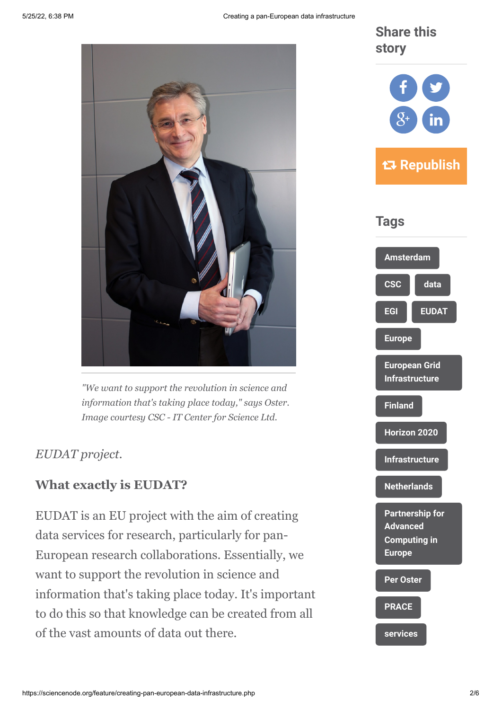

*"We want to support the revolution in science and information that's taking place today," says Oster. Image courtesy CSC - IT Center for Science Ltd.*

# *EUDAT project.*

# **What exactly is EUDAT?**

EUDAT is an EU project with the aim of creating data services for research, particularly for pan-European research collaborations. Essentially, we want to support the revolution in science and information that's taking place today. It's important to do this so that knowledge can be created from all of the vast amounts of data out there.

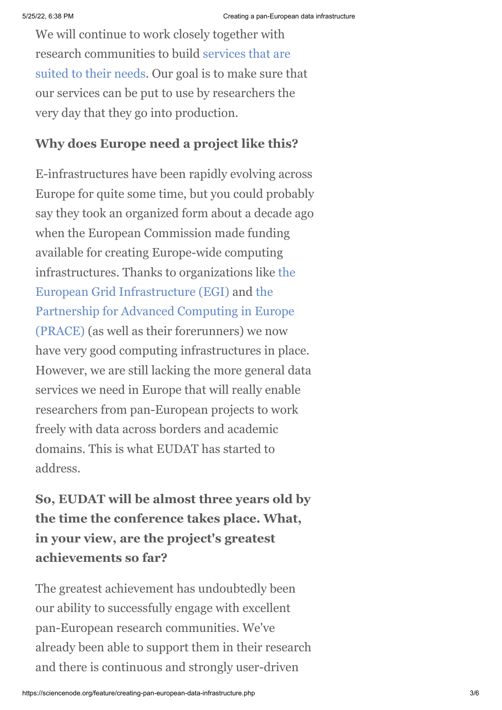We will continue to work closely together with [research communities to build services that are](http://www.eudat.eu/services) suited to their needs. Our goal is to make sure that our services can be put to use by researchers the very day that they go into production.

# **Why does Europe need a project like this?**

E-infrastructures have been rapidly evolving across Europe for quite some time, but you could probably say they took an organized form about a decade ago when the European Commission made funding available for creating Europe-wide computing [infrastructures. Thanks to organizations like the](http://www.egi.eu/) European Grid Infrastructure (EGI) and the [Partnership for Advanced Computing in Europe](http://www.prace-ri.eu/) (PRACE) (as well as their forerunners) we now have very good computing infrastructures in place. However, we are still lacking the more general data services we need in Europe that will really enable researchers from pan-European projects to work freely with data across borders and academic domains. This is what EUDAT has started to address.

**So, EUDAT will be almost three years old by the time the conference takes place. What, in your view, are the project's greatest achievements so far?**

The greatest achievement has undoubtedly been our ability to successfully engage with excellent pan-European research communities. We've already been able to support them in their research and there is continuous and strongly user-driven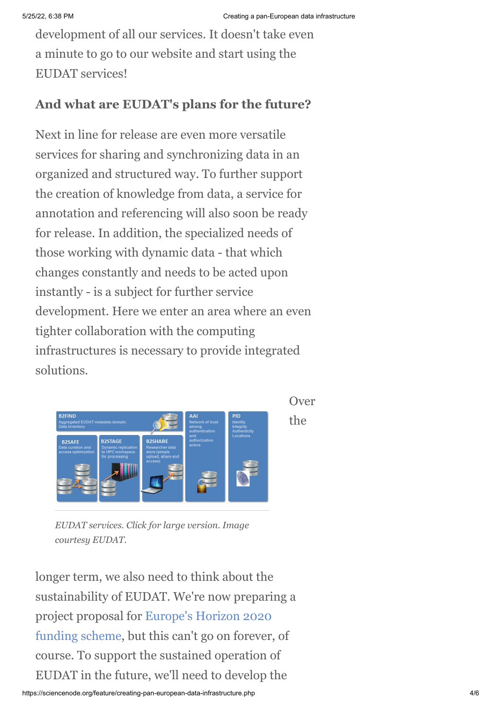development of all our services. It doesn't take even a minute to go to our website and start using the EUDAT services!

## **And what are EUDAT's plans for the future?**

Next in line for release are even more versatile services for sharing and synchronizing data in an organized and structured way. To further support the creation of knowledge from data, a service for annotation and referencing will also soon be ready for release. In addition, the specialized needs of those working with dynamic data - that which changes constantly and needs to be acted upon instantly - is a subject for further service development. Here we enter an area where an even tighter collaboration with the computing infrastructures is necessary to provide integrated solutions.



Over the

*EUDAT services. Click for large version. Image courtesy EUDAT.*

longer term, we also need to think about the sustainability of EUDAT. We're now preparing a project proposal for Europe's Horizon 2020 [funding scheme, but this can't go on forever,](http://ec.europa.eu/programmes/horizon2020/) of course. To support the sustained operation of EUDAT in the future, we'll need to develop the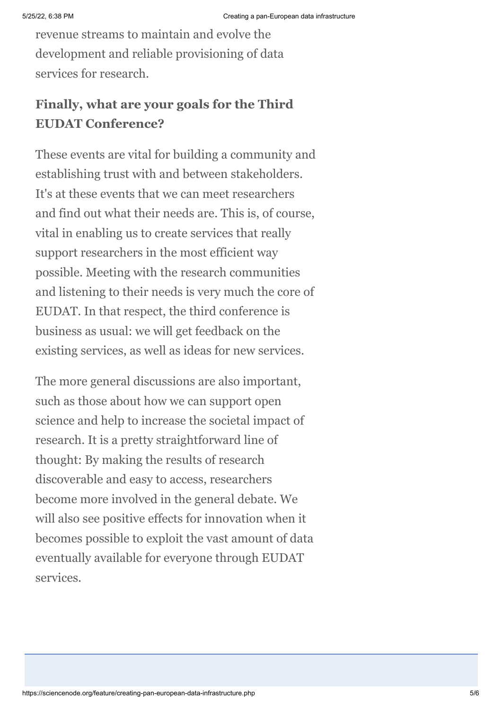revenue streams to maintain and evolve the development and reliable provisioning of data services for research.

# **Finally, what are your goals for the Third EUDAT Conference?**

These events are vital for building a community and establishing trust with and between stakeholders. It's at these events that we can meet researchers and find out what their needs are. This is, of course, vital in enabling us to create services that really support researchers in the most efficient way possible. Meeting with the research communities and listening to their needs is very much the core of EUDAT. In that respect, the third conference is business as usual: we will get feedback on the existing services, as well as ideas for new services.

The more general discussions are also important, such as those about how we can support open science and help to increase the societal impact of research. It is a pretty straightforward line of thought: By making the results of research discoverable and easy to access, researchers become more involved in the general debate. We will also see positive effects for innovation when it becomes possible to exploit the vast amount of data eventually available for everyone through EUDAT services.